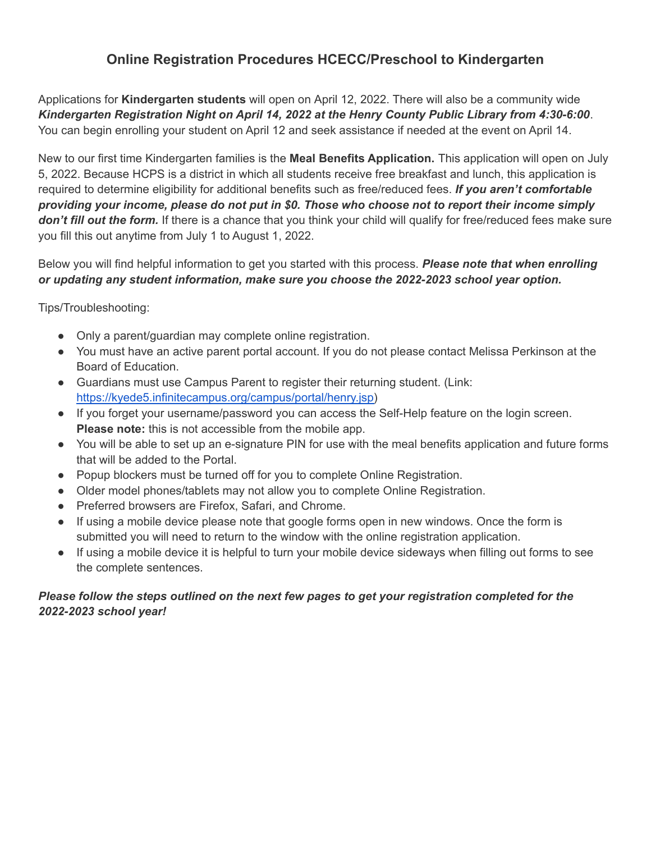# **Online Registration Procedures HCECC/Preschool to Kindergarten**

Applications for **Kindergarten students** will open on April 12, 2022. There will also be a community wide *Kindergarten Registration Night on April 14, 2022 at the Henry County Public Library from 4:30-6:00*. You can begin enrolling your student on April 12 and seek assistance if needed at the event on April 14.

New to our first time Kindergarten families is the **Meal Benefits Application.** This application will open on July 5, 2022. Because HCPS is a district in which all students receive free breakfast and lunch, this application is required to determine eligibility for additional benefits such as free/reduced fees. *If you aren't comfortable providing your income, please do not put in \$0. Those who choose not to report their income simply don't fill out the form.* If there is a chance that you think your child will qualify for free/reduced fees make sure you fill this out anytime from July 1 to August 1, 2022.

Below you will find helpful information to get you started with this process. *Please note that when enrolling or updating any student information, make sure you choose the 2022-2023 school year option.*

Tips/Troubleshooting:

- Only a parent/guardian may complete online registration.
- You must have an active parent portal account. If you do not please contact Melissa Perkinson at the Board of Education.
- Guardians must use Campus Parent to register their returning student. (Link: [https://kyede5.infinitecampus.org/campus/portal/henry.jsp\)](https://kyede5.infinitecampus.org/campus/portal/henry.jsp)
- If you forget your username/password you can access the Self-Help feature on the login screen. **Please note:** this is not accessible from the mobile app.
- You will be able to set up an e-signature PIN for use with the meal benefits application and future forms that will be added to the Portal.
- Popup blockers must be turned off for you to complete Online Registration.
- Older model phones/tablets may not allow you to complete Online Registration.
- Preferred browsers are Firefox, Safari, and Chrome.
- If using a mobile device please note that google forms open in new windows. Once the form is submitted you will need to return to the window with the online registration application.
- If using a mobile device it is helpful to turn your mobile device sideways when filling out forms to see the complete sentences.

### *Please follow the steps outlined on the next few pages to get your registration completed for the 2022-2023 school year!*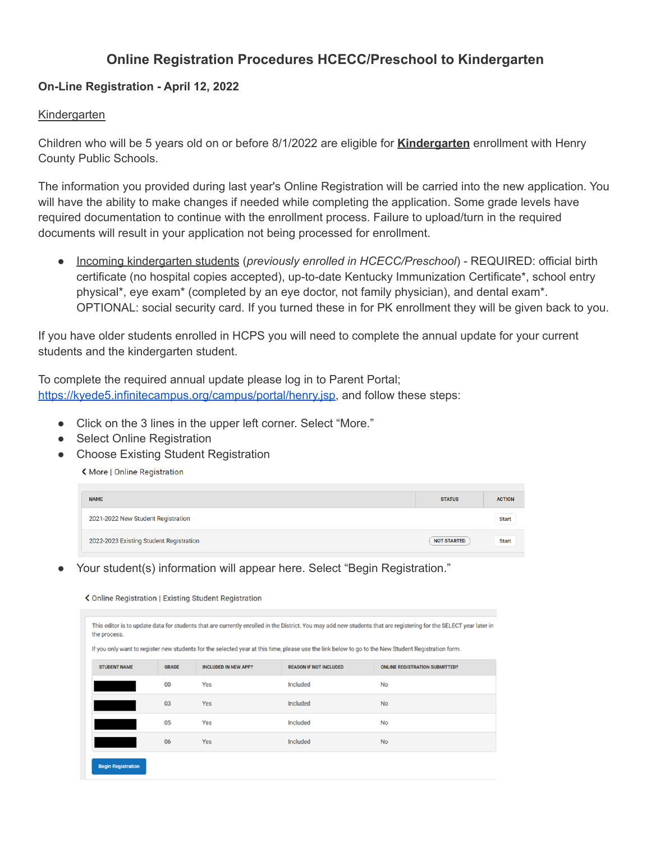## **Online Registration Procedures HCECC/Preschool to Kindergarten**

### **On-Line Registration - April 12, 2022**

#### Kindergarten

Children who will be 5 years old on or before 8/1/2022 are eligible for **Kindergarten** enrollment with Henry County Public Schools.

The information you provided during last year's Online Registration will be carried into the new application. You will have the ability to make changes if needed while completing the application. Some grade levels have required documentation to continue with the enrollment process. Failure to upload/turn in the required documents will result in your application not being processed for enrollment.

● Incoming kindergarten students (*previously enrolled in HCECC/Preschool*) - REQUIRED: official birth certificate (no hospital copies accepted), up-to-date Kentucky Immunization Certificate\*, school entry physical\*, eye exam\* (completed by an eye doctor, not family physician), and dental exam\*. OPTIONAL: social security card. If you turned these in for PK enrollment they will be given back to you.

If you have older students enrolled in HCPS you will need to complete the annual update for your current students and the kindergarten student.

To complete the required annual update please log in to Parent Portal; [https://kyede5.infinitecampus.org/campus/portal/henry.jsp,](https://kyede5.infinitecampus.org/campus/portal/henry.jsp) and follow these steps:

- Click on the 3 lines in the upper left corner. Select "More."
- Select Online Registration
- Choose Existing Student Registration

K More | Online Registration

| <b>NAME</b>                             | <b>STATUS</b>      | <b>ACTION</b> |
|-----------------------------------------|--------------------|---------------|
| 2021-2022 New Student Registration      |                    | <b>Start</b>  |
| 2022-2023 Existing Student Registration | <b>NOT STARTED</b> | <b>Start</b>  |

● Your student(s) information will appear here. Select "Begin Registration."

く Online Registration | Existing Student Registration

| This editor is to update data for students that are currently enrolled in the District. You may add new students that are registering for the SELECT year later in<br>the process.<br>If you only want to register new students for the selected year at this time, please use the link below to go to the New Student Registration form. |              |                             |                               |                                       |  |
|-------------------------------------------------------------------------------------------------------------------------------------------------------------------------------------------------------------------------------------------------------------------------------------------------------------------------------------------|--------------|-----------------------------|-------------------------------|---------------------------------------|--|
| <b>STUDENT NAME</b>                                                                                                                                                                                                                                                                                                                       | <b>GRADE</b> | <b>INCLUDED IN NEW APP?</b> | <b>REASON IF NOT INCLUDED</b> | <b>ONLINE REGISTRATION SUBMITTED?</b> |  |
|                                                                                                                                                                                                                                                                                                                                           | 00           | Yes                         | Included                      | <b>No</b>                             |  |
|                                                                                                                                                                                                                                                                                                                                           | 03           | Yes                         | Included                      | <b>No</b>                             |  |
|                                                                                                                                                                                                                                                                                                                                           | 05           | Yes                         | Included                      | No                                    |  |
|                                                                                                                                                                                                                                                                                                                                           | 06           | <b>Yes</b>                  | Included                      | <b>No</b>                             |  |
| <b>Begin Registration</b>                                                                                                                                                                                                                                                                                                                 |              |                             |                               |                                       |  |